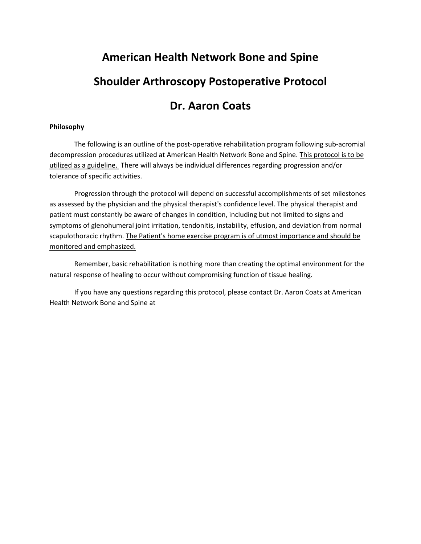# **American Health Network Bone and Spine Shoulder Arthroscopy Postoperative Protocol Dr. Aaron Coats**

# **Philosophy**

The following is an outline of the post-operative rehabilitation program following sub-acromial decompression procedures utilized at American Health Network Bone and Spine. This protocol is to be utilized as a guideline. There will always be individual differences regarding progression and/or tolerance of specific activities.

Progression through the protocol will depend on successful accomplishments of set milestones as assessed by the physician and the physical therapist's confidence level. The physical therapist and patient must constantly be aware of changes in condition, including but not limited to signs and symptoms of glenohumeral joint irritation, tendonitis, instability, effusion, and deviation from normal scapulothoracic rhythm. The Patient's home exercise program is of utmost importance and should be monitored and emphasized.

Remember, basic rehabilitation is nothing more than creating the optimal environment for the natural response of healing to occur without compromising function of tissue healing.

If you have any questions regarding this protocol, please contact Dr. Aaron Coats at American Health Network Bone and Spine at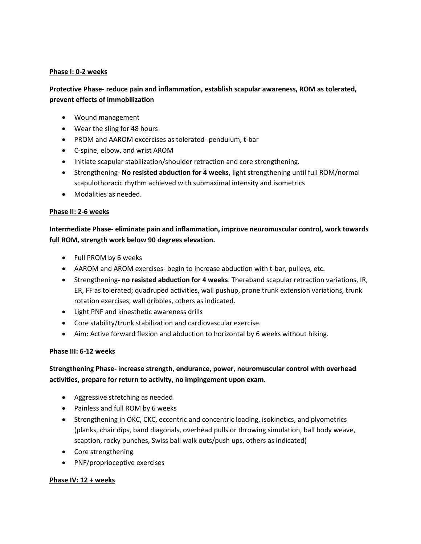### **Phase I: 0-2 weeks**

# **Protective Phase- reduce pain and inflammation, establish scapular awareness, ROM as tolerated, prevent effects of immobilization**

- Wound management
- Wear the sling for 48 hours
- PROM and AAROM excercises as tolerated- pendulum, t-bar
- C-spine, elbow, and wrist AROM
- Initiate scapular stabilization/shoulder retraction and core strengthening.
- Strengthening- **No resisted abduction for 4 weeks**, light strengthening until full ROM/normal scapulothoracic rhythm achieved with submaximal intensity and isometrics
- Modalities as needed.

#### **Phase II: 2-6 weeks**

**Intermediate Phase- eliminate pain and inflammation, improve neuromuscular control, work towards full ROM, strength work below 90 degrees elevation.**

- Full PROM by 6 weeks
- AAROM and AROM exercises- begin to increase abduction with t-bar, pulleys, etc.
- Strengthening**- no resisted abduction for 4 weeks**. Theraband scapular retraction variations, IR, ER, FF as tolerated; quadruped activities, wall pushup, prone trunk extension variations, trunk rotation exercises, wall dribbles, others as indicated.
- Light PNF and kinesthetic awareness drills
- Core stability/trunk stabilization and cardiovascular exercise.
- Aim: Active forward flexion and abduction to horizontal by 6 weeks without hiking.

# **Phase III: 6-12 weeks**

**Strengthening Phase- increase strength, endurance, power, neuromuscular control with overhead activities, prepare for return to activity, no impingement upon exam.**

- Aggressive stretching as needed
- Painless and full ROM by 6 weeks
- Strengthening in OKC, CKC, eccentric and concentric loading, isokinetics, and plyometrics (planks, chair dips, band diagonals, overhead pulls or throwing simulation, ball body weave, scaption, rocky punches, Swiss ball walk outs/push ups, others as indicated)
- Core strengthening
- PNF/proprioceptive exercises

# **Phase IV: 12 + weeks**